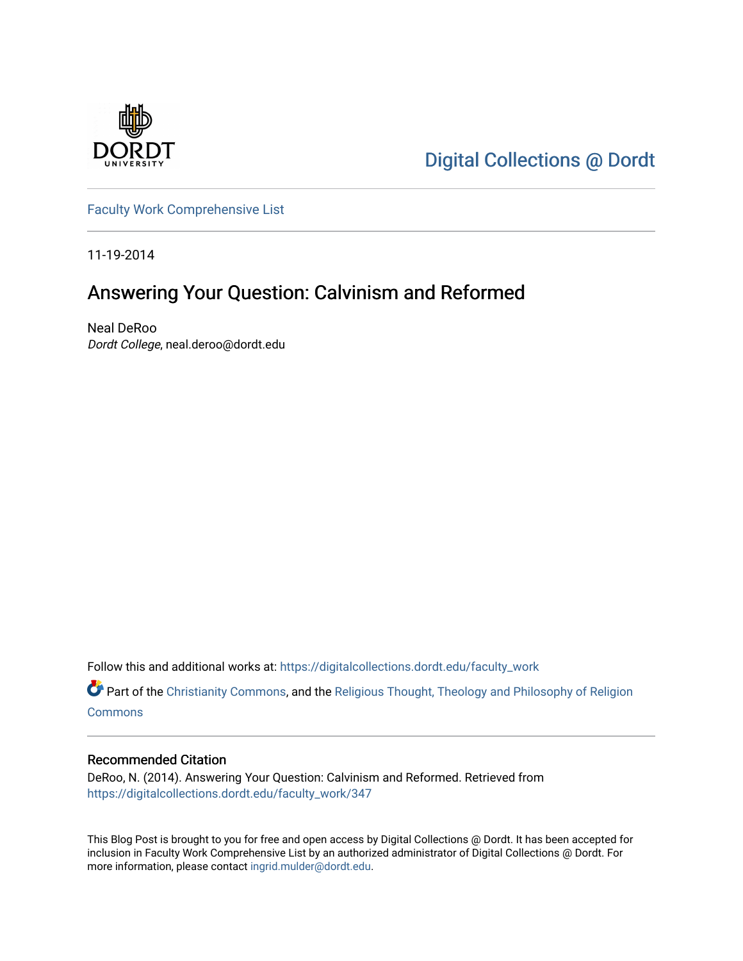

[Digital Collections @ Dordt](https://digitalcollections.dordt.edu/) 

[Faculty Work Comprehensive List](https://digitalcollections.dordt.edu/faculty_work)

11-19-2014

## Answering Your Question: Calvinism and Reformed

Neal DeRoo Dordt College, neal.deroo@dordt.edu

Follow this and additional works at: [https://digitalcollections.dordt.edu/faculty\\_work](https://digitalcollections.dordt.edu/faculty_work?utm_source=digitalcollections.dordt.edu%2Ffaculty_work%2F347&utm_medium=PDF&utm_campaign=PDFCoverPages) 

Part of the [Christianity Commons,](http://network.bepress.com/hgg/discipline/1181?utm_source=digitalcollections.dordt.edu%2Ffaculty_work%2F347&utm_medium=PDF&utm_campaign=PDFCoverPages) and the [Religious Thought, Theology and Philosophy of Religion](http://network.bepress.com/hgg/discipline/544?utm_source=digitalcollections.dordt.edu%2Ffaculty_work%2F347&utm_medium=PDF&utm_campaign=PDFCoverPages)  **[Commons](http://network.bepress.com/hgg/discipline/544?utm_source=digitalcollections.dordt.edu%2Ffaculty_work%2F347&utm_medium=PDF&utm_campaign=PDFCoverPages)** 

#### Recommended Citation

DeRoo, N. (2014). Answering Your Question: Calvinism and Reformed. Retrieved from [https://digitalcollections.dordt.edu/faculty\\_work/347](https://digitalcollections.dordt.edu/faculty_work/347?utm_source=digitalcollections.dordt.edu%2Ffaculty_work%2F347&utm_medium=PDF&utm_campaign=PDFCoverPages) 

This Blog Post is brought to you for free and open access by Digital Collections @ Dordt. It has been accepted for inclusion in Faculty Work Comprehensive List by an authorized administrator of Digital Collections @ Dordt. For more information, please contact [ingrid.mulder@dordt.edu.](mailto:ingrid.mulder@dordt.edu)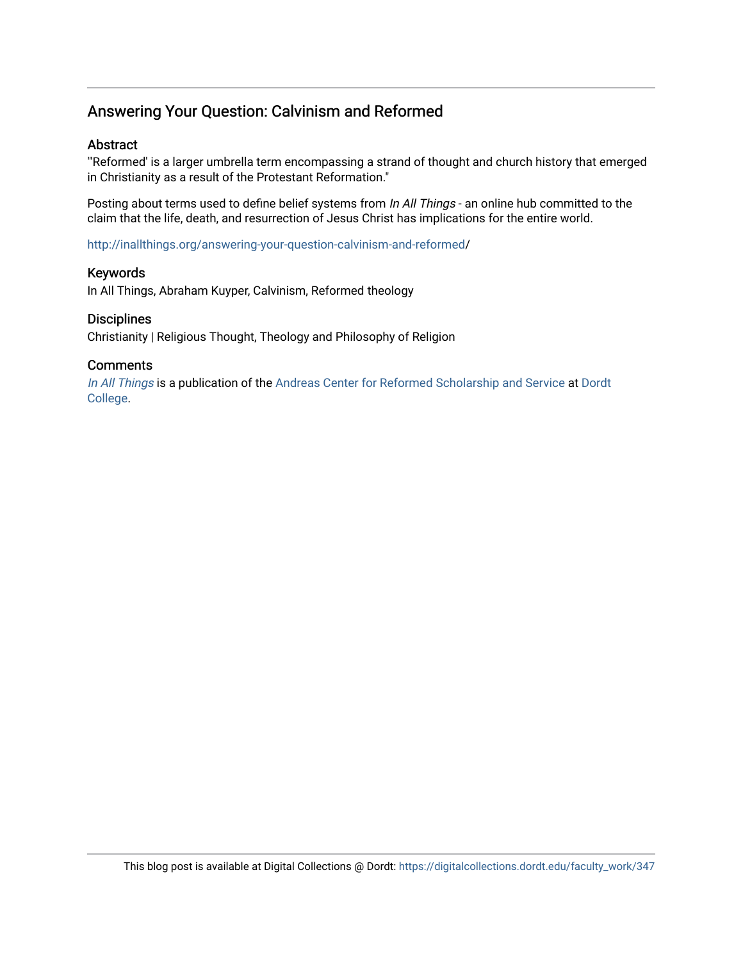### Answering Your Question: Calvinism and Reformed

#### Abstract

"'Reformed' is a larger umbrella term encompassing a strand of thought and church history that emerged in Christianity as a result of the Protestant Reformation."

Posting about terms used to define belief systems from In All Things - an online hub committed to the claim that the life, death, and resurrection of Jesus Christ has implications for the entire world.

[http://inallthings.org/answering-your-question-calvinism-and-reformed](http://inallthings.org/answering-your-question-calvinism-and-reformed/)/

#### Keywords

In All Things, Abraham Kuyper, Calvinism, Reformed theology

#### **Disciplines**

Christianity | Religious Thought, Theology and Philosophy of Religion

#### **Comments**

[In All Things](http://inallthings.org/) is a publication of the [Andreas Center for Reformed Scholarship and Service](http://www.dordt.edu/services_support/andreas_center/) at Dordt [College](http://www.dordt.edu/).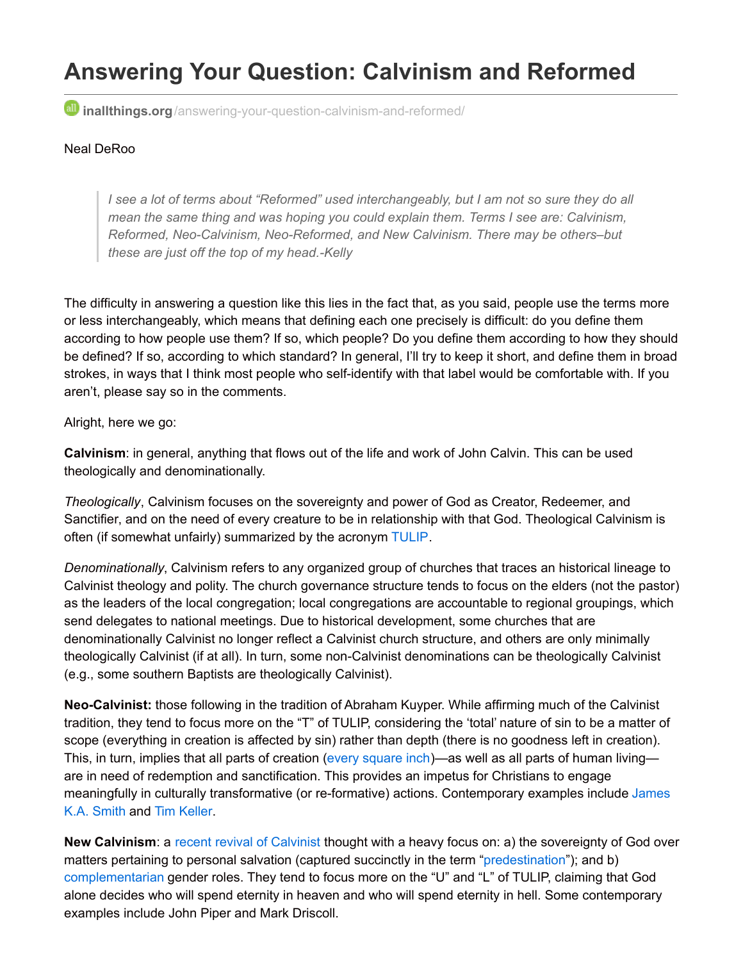# **Answering Your Question: Calvinism and Reformed**

**inallthings.org**[/answering-your-question-calvinism-and-reformed/](http://inallthings.org/answering-your-question-calvinism-and-reformed/)

#### Neal DeRoo

I see a lot of terms about "Reformed" used interchangeably, but I am not so sure they do all *mean the same thing and was hoping you could explain them. Terms I see are: Calvinism, Reformed, Neo-Calvinism, Neo-Reformed, and New Calvinism. There may be others–but these are just off the top of my head.-Kelly*

The difficulty in answering a question like this lies in the fact that, as you said, people use the terms more or less interchangeably, which means that defining each one precisely is difficult: do you define them according to how people use them? If so, which people? Do you define them according to how they should be defined? If so, according to which standard? In general, I'll try to keep it short, and define them in broad strokes, in ways that I think most people who self-identify with that label would be comfortable with. If you aren't, please say so in the comments.

Alright, here we go:

**Calvinism**: in general, anything that flows out of the life and work of John Calvin. This can be used theologically and denominationally.

*Theologically*, Calvinism focuses on the sovereignty and power of God as Creator, Redeemer, and Sanctifier, and on the need of every creature to be in relationship with that God. Theological Calvinism is often (if somewhat unfairly) summarized by the acronym [TULIP](http://inallthings.org/glossary/tulip/).

*Denominationally*, Calvinism refers to any organized group of churches that traces an historical lineage to Calvinist theology and polity. The church governance structure tends to focus on the elders (not the pastor) as the leaders of the local congregation; local congregations are accountable to regional groupings, which send delegates to national meetings. Due to historical development, some churches that are denominationally Calvinist no longer reflect a Calvinist church structure, and others are only minimally theologically Calvinist (if at all). In turn, some non-Calvinist denominations can be theologically Calvinist (e.g., some southern Baptists are theologically Calvinist).

**Neo-Calvinist:** those following in the tradition of Abraham Kuyper. While affirming much of the Calvinist tradition, they tend to focus more on the "T" of TULIP, considering the 'total' nature of sin to be a matter of scope (everything in creation is affected by sin) rather than depth (there is no goodness left in creation). This, in turn, implies that all parts of creation (every [square](https://www.goodreads.com/author/quotes/385896.Abraham_Kuyper) inch)—as well as all parts of human living are in need of redemption and sanctification. This provides an impetus for Christians to engage meaningfully in culturally transformative (or re-formative) actions. [Contemporary](http://forsclavigera.blogspot.com/) examples include James K.A. Smith and Tim [Keller](http://www.timothykeller.com/).

**New Calvinism**: a [recent](http://www.challies.com/resources/where-did-all-these-calvinists-come-from-a-visual-history) revival of [Calvinist](http://www.challies.com/quotes/john-piper-12-features-of-the-new-calvinism) thought with a heavy focus on: a) the sovereignty of God over matters pertaining to personal salvation (captured succinctly in the term ["predestination](http://inallthings.org/glossary/predesination/)"); and b) [complementarian](http://inallthings.org/glossary/complementarian/) gender roles. They tend to focus more on the "U" and "L" of TULIP, claiming that God alone decides who will spend eternity in heaven and who will spend eternity in hell. Some contemporary examples include John Piper and Mark Driscoll.